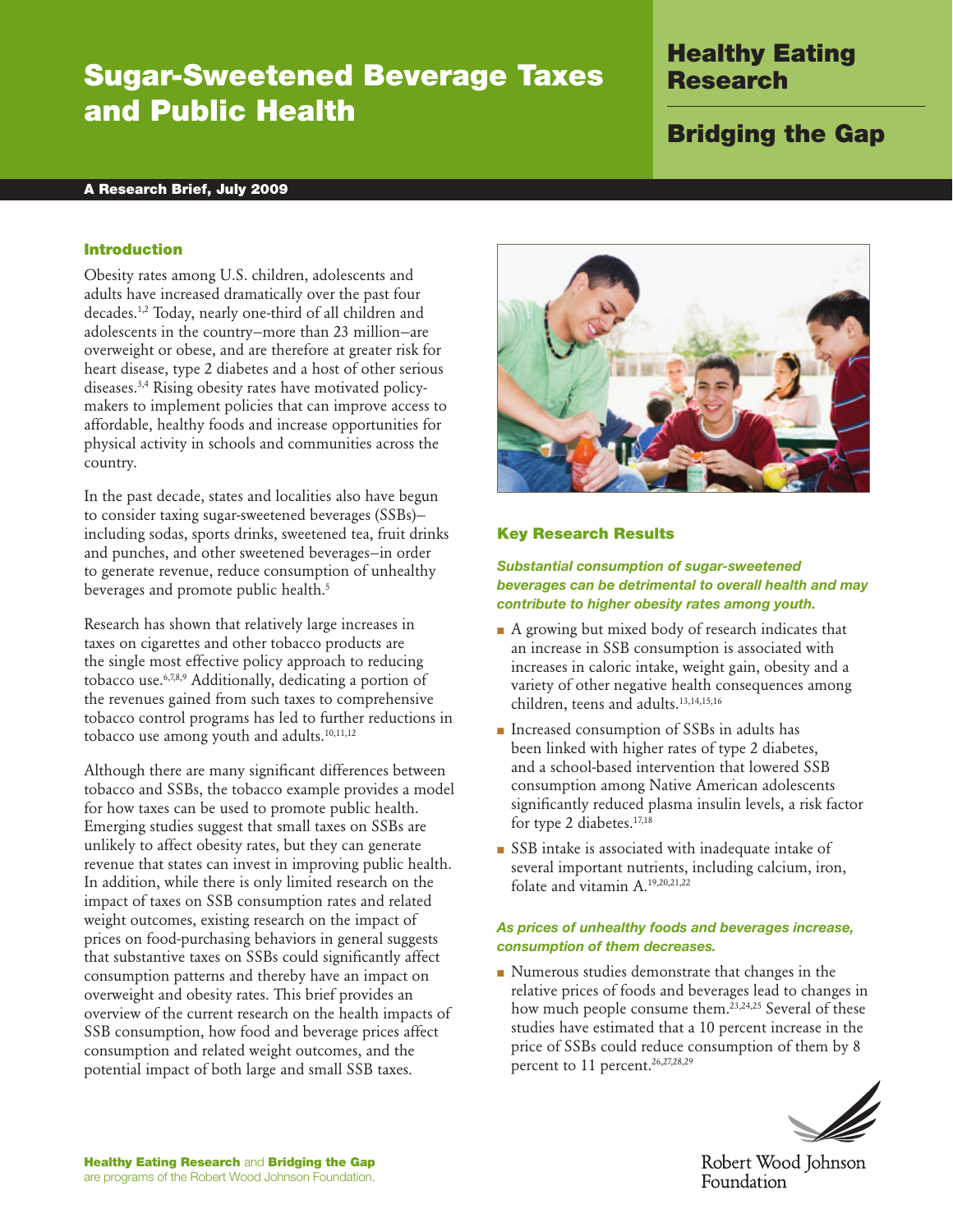# Sugar-Sweetened Beverage Taxes and Public Health

## Healthy Eating Research

# Bridging the Gap

#### A Research Brief, July 2009

#### Introduction

Obesity rates among U.S. children, adolescents and adults have increased dramatically over the past four decades.<sup>1,2</sup> Today, nearly one-third of all children and adolescents in the country—more than 23 million—are overweight or obese, and are therefore at greater risk for heart disease, type 2 diabetes and a host of other serious diseases.3,4 Rising obesity rates have motivated policymakers to implement policies that can improve access to affordable, healthy foods and increase opportunities for physical activity in schools and communities across the country.

In the past decade, states and localities also have begun to consider taxing sugar-sweetened beverages (SSBs) including sodas, sports drinks, sweetened tea, fruit drinks and punches, and other sweetened beverages—in order to generate revenue, reduce consumption of unhealthy beverages and promote public health.<sup>5</sup>

Research has shown that relatively large increases in taxes on cigarettes and other tobacco products are the single most effective policy approach to reducing tobacco use.6,7,8,9 Additionally, dedicating a portion of the revenues gained from such taxes to comprehensive tobacco control programs has led to further reductions in tobacco use among youth and adults.<sup>10,11,12</sup>

Although there are many significant differences between tobacco and SSBs, the tobacco example provides a model for how taxes can be used to promote public health. Emerging studies suggest that small taxes on SSBs are unlikely to affect obesity rates, but they can generate revenue that states can invest in improving public health. In addition, while there is only limited research on the impact of taxes on SSB consumption rates and related weight outcomes, existing research on the impact of prices on food-purchasing behaviors in general suggests that substantive taxes on SSBs could significantly affect consumption patterns and thereby have an impact on overweight and obesity rates. This brief provides an overview of the current research on the health impacts of SSB consumption, how food and beverage prices affect consumption and related weight outcomes, and the potential impact of both large and small SSB taxes.



#### Key Research Results

*Substantial consumption of sugar-sweetened beverages can be detrimental to overall health and may contribute to higher obesity rates among youth.*

- A growing but mixed body of research indicates that an increase in SSB consumption is associated with increases in caloric intake, weight gain, obesity and a variety of other negative health consequences among children, teens and adults.13,14,15,16
- Increased consumption of SSBs in adults has been linked with higher rates of type 2 diabetes, and a school-based intervention that lowered SSB consumption among Native American adolescents significantly reduced plasma insulin levels, a risk factor for type 2 diabetes.<sup>17,18</sup>
- SSB intake is associated with inadequate intake of several important nutrients, including calcium, iron, folate and vitamin A.19,20,21,22

#### *As prices of unhealthy foods and beverages increase, consumption of them decreases.*

■ Numerous studies demonstrate that changes in the relative prices of foods and beverages lead to changes in how much people consume them.<sup>23,24,25</sup> Several of these studies have estimated that a 10 percent increase in the price of SSBs could reduce consumption of them by 8 percent to 11 percent.<sup>26,27,28,29</sup>

Robert Wood Johnson Foundation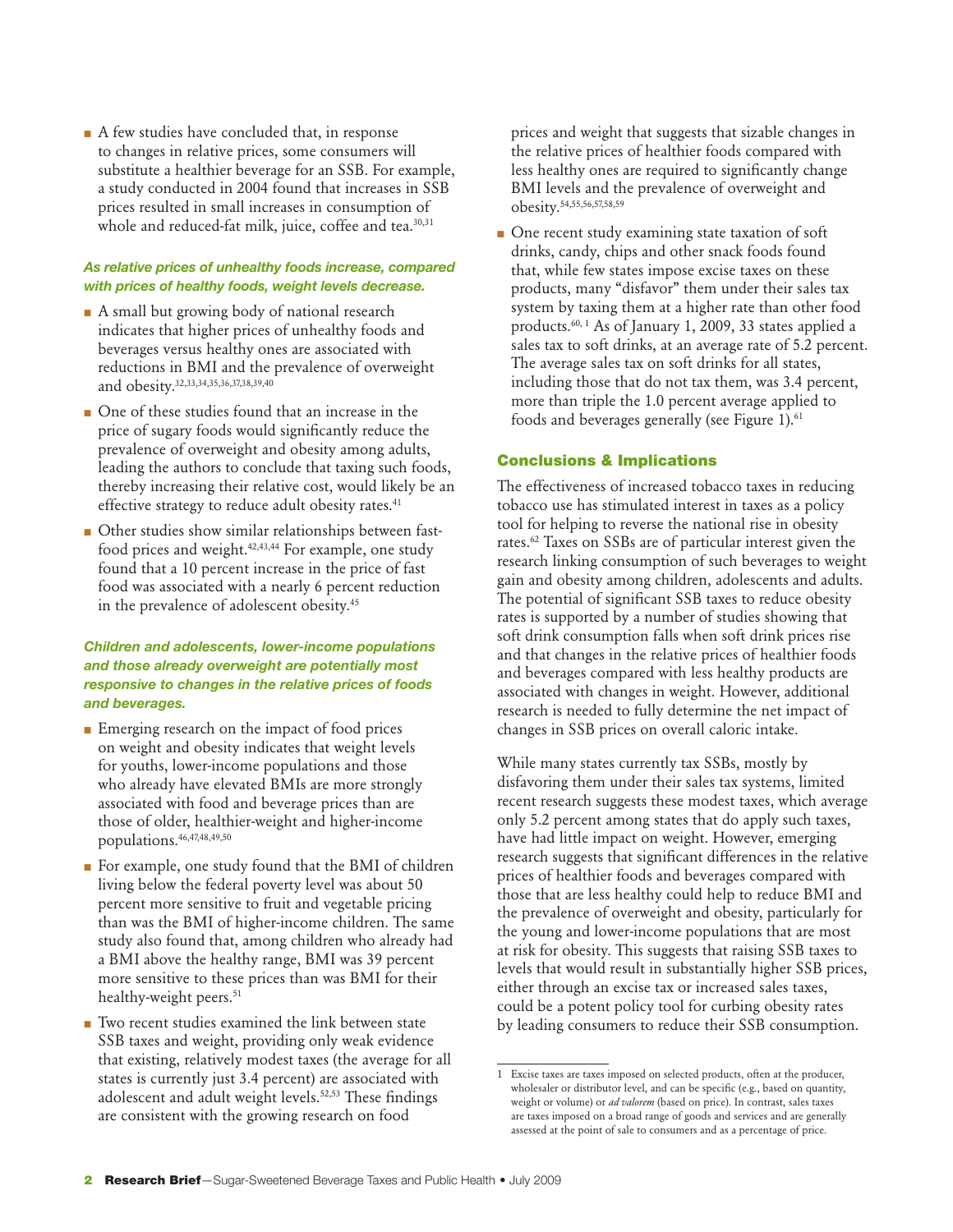■ A few studies have concluded that, in response to changes in relative prices, some consumers will substitute a healthier beverage for an SSB. For example, a study conducted in 2004 found that increases in SSB prices resulted in small increases in consumption of whole and reduced-fat milk, juice, coffee and tea.<sup>30,31</sup>

#### *As relative prices of unhealthy foods increase, compared with prices of healthy foods, weight levels decrease.*

- A small but growing body of national research indicates that higher prices of unhealthy foods and beverages versus healthy ones are associated with reductions in BMI and the prevalence of overweight and obesity.32,33,34,35,36,37,38,39,40
- One of these studies found that an increase in the price of sugary foods would significantly reduce the prevalence of overweight and obesity among adults, leading the authors to conclude that taxing such foods, thereby increasing their relative cost, would likely be an effective strategy to reduce adult obesity rates.<sup>41</sup>
- Other studies show similar relationships between fastfood prices and weight. $42,43,44$  For example, one study found that a 10 percent increase in the price of fast food was associated with a nearly 6 percent reduction in the prevalence of adolescent obesity.45

### *Children and adolescents, lower-income populations and those already overweight are potentially most responsive to changes in the relative prices of foods and beverages.*

- Emerging research on the impact of food prices on weight and obesity indicates that weight levels for youths, lower-income populations and those who already have elevated BMIs are more strongly associated with food and beverage prices than are those of older, healthier-weight and higher-income populations.46,47,48,49,50
- For example, one study found that the BMI of children living below the federal poverty level was about 50 percent more sensitive to fruit and vegetable pricing than was the BMI of higher-income children. The same study also found that, among children who already had a BMI above the healthy range, BMI was 39 percent more sensitive to these prices than was BMI for their healthy-weight peers.<sup>51</sup>
- Two recent studies examined the link between state SSB taxes and weight, providing only weak evidence that existing, relatively modest taxes (the average for all states is currently just 3.4 percent) are associated with adolescent and adult weight levels.<sup>52,53</sup> These findings are consistent with the growing research on food

prices and weight that suggests that sizable changes in the relative prices of healthier foods compared with less healthy ones are required to significantly change BMI levels and the prevalence of overweight and obesity.54,55,56,57,58,59

■ One recent study examining state taxation of soft drinks, candy, chips and other snack foods found that, while few states impose excise taxes on these products, many "disfavor" them under their sales tax system by taxing them at a higher rate than other food products.60, 1 As of January 1, 2009, 33 states applied a sales tax to soft drinks, at an average rate of 5.2 percent. The average sales tax on soft drinks for all states, including those that do not tax them, was 3.4 percent, more than triple the 1.0 percent average applied to foods and beverages generally (see Figure 1).<sup>61</sup>

### Conclusions & Implications

The effectiveness of increased tobacco taxes in reducing tobacco use has stimulated interest in taxes as a policy tool for helping to reverse the national rise in obesity rates.62 Taxes on SSBs are of particular interest given the research linking consumption of such beverages to weight gain and obesity among children, adolescents and adults. The potential of significant SSB taxes to reduce obesity rates is supported by a number of studies showing that soft drink consumption falls when soft drink prices rise and that changes in the relative prices of healthier foods and beverages compared with less healthy products are associated with changes in weight. However, additional research is needed to fully determine the net impact of changes in SSB prices on overall caloric intake.

While many states currently tax SSBs, mostly by disfavoring them under their sales tax systems, limited recent research suggests these modest taxes, which average only 5.2 percent among states that do apply such taxes, have had little impact on weight. However, emerging research suggests that significant differences in the relative prices of healthier foods and beverages compared with those that are less healthy could help to reduce BMI and the prevalence of overweight and obesity, particularly for the young and lower-income populations that are most at risk for obesity. This suggests that raising SSB taxes to levels that would result in substantially higher SSB prices, either through an excise tax or increased sales taxes, could be a potent policy tool for curbing obesity rates by leading consumers to reduce their SSB consumption.

<sup>1</sup> Excise taxes are taxes imposed on selected products, often at the producer, wholesaler or distributor level, and can be specific (e.g., based on quantity, weight or volume) or *ad valorem* (based on price). In contrast, sales taxes are taxes imposed on a broad range of goods and services and are generally assessed at the point of sale to consumers and as a percentage of price.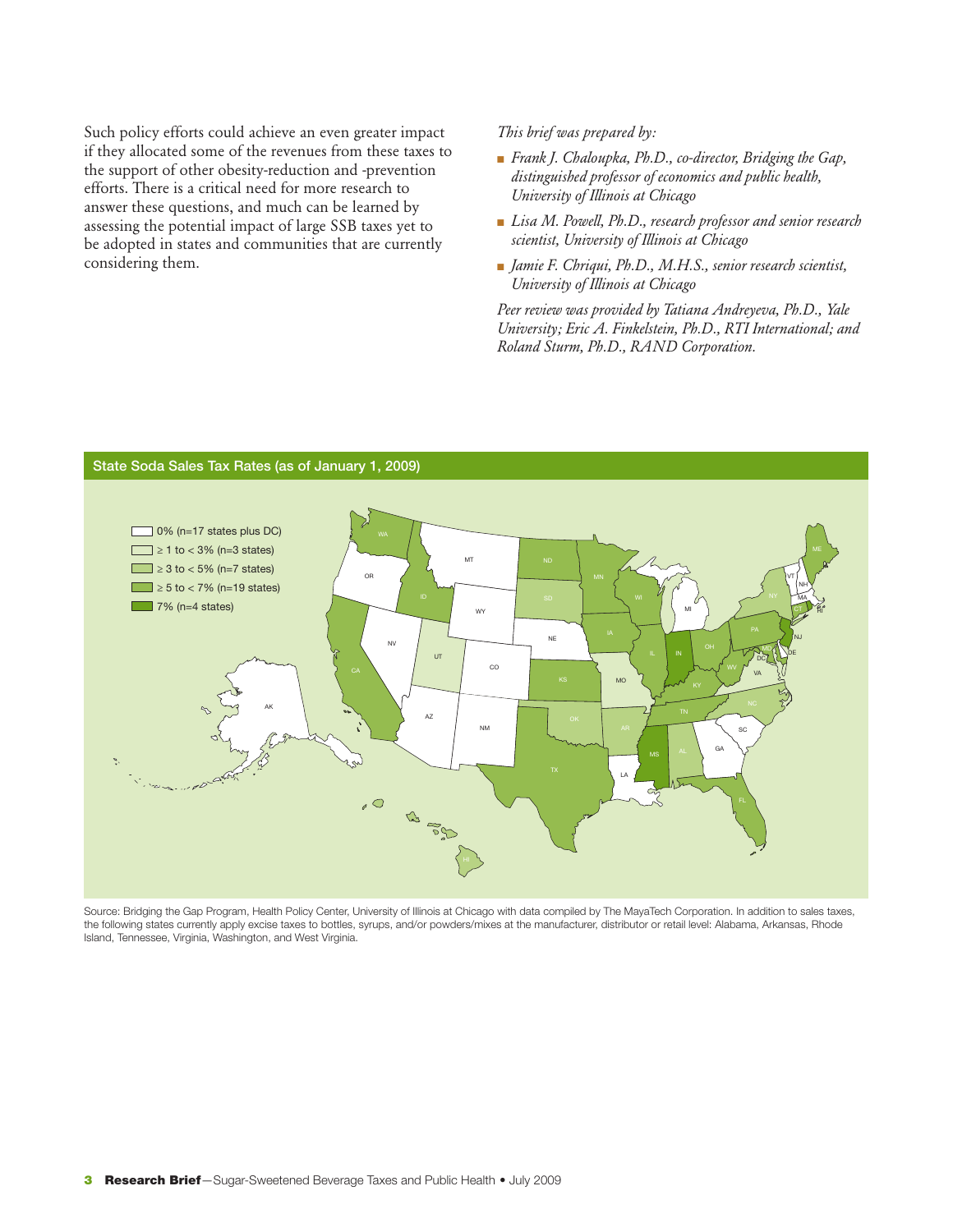Such policy efforts could achieve an even greater impact if they allocated some of the revenues from these taxes to the support of other obesity-reduction and -prevention efforts. There is a critical need for more research to answer these questions, and much can be learned by assessing the potential impact of large SSB taxes yet to be adopted in states and communities that are currently considering them.

*This brief was prepared by:*

- *Frank J. Chaloupka, Ph.D., co-director, Bridging the Gap, distinguished professor of economics and public health, University of Illinois at Chicago*
- *Lisa M. Powell, Ph.D., research professor and senior research scientist, University of Illinois at Chicago*
- *Jamie F. Chriqui, Ph.D., M.H.S., senior research scientist, University of Illinois at Chicago*

*Peer review was provided by Tatiana Andreyeva, Ph.D., Yale University; Eric A. Finkelstein, Ph.D., RTI International; and Roland Sturm, Ph.D., RAND Corporation.*



Source: Bridging the Gap Program, Health Policy Center, University of Illinois at Chicago with data compiled by The MayaTech Corporation. In addition to sales taxes, the following states currently apply excise taxes to bottles, syrups, and/or powders/mixes at the manufacturer, distributor or retail level: Alabama, Arkansas, Rhode Island, Tennessee, Virginia, Washington, and West Virginia.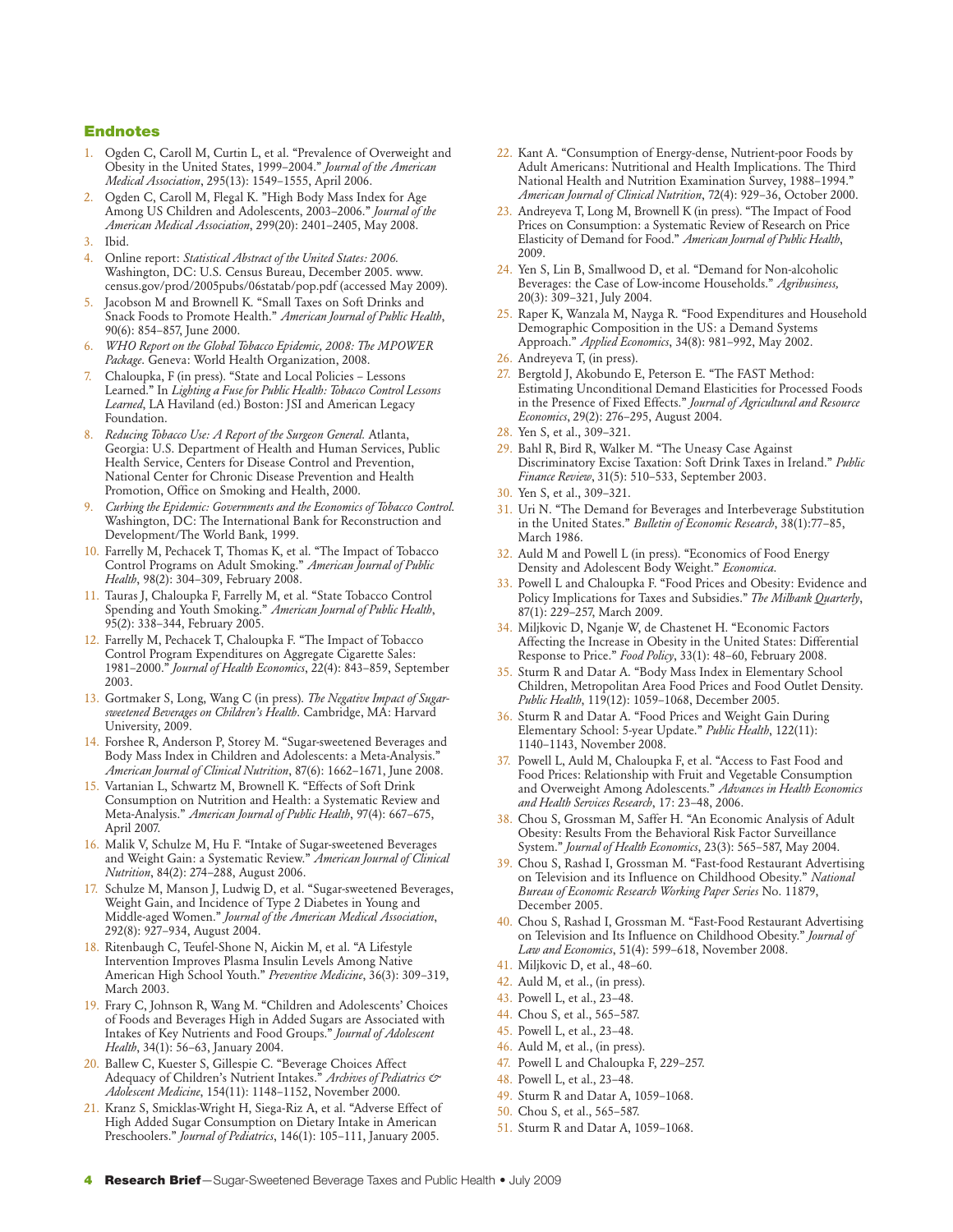#### Endnotes

- 1. Ogden C, Caroll M, Curtin L, et al. "Prevalence of Overweight and Obesity in the United States, 1999–2004." *Journal of the American Medical Association*, 295(13): 1549–1555, April 2006.
- 2. Ogden C, Caroll M, Flegal K. "High Body Mass Index for Age Among US Children and Adolescents, 2003–2006." *Journal of the American Medical Association*, 299(20): 2401–2405, May 2008.
- 3. Ibid.
- 4. Online report: *Statistical Abstract of the United States: 2006.* Washington, DC: U.S. Census Bureau, December 2005. www. census.gov/prod/2005pubs/06statab/pop.pdf (accessed May 2009).
- Jacobson M and Brownell K. "Small Taxes on Soft Drinks and Snack Foods to Promote Health." *American Journal of Public Health*, 90(6): 854–857, June 2000.
- 6. *WHO Report on the Global Tobacco Epidemic, 2008: The MPOWER Package*. Geneva: World Health Organization, 2008.
- 7. Chaloupka, F (in press). "State and Local Policies Lessons Learned." In *Lighting a Fuse for Public Health: Tobacco Control Lessons Learned*, LA Haviland (ed.) Boston: JSI and American Legacy Foundation.
- 8. *Reducing Tobacco Use: A Report of the Surgeon General.* Atlanta, Georgia: U.S. Department of Health and Human Services, Public Health Service, Centers for Disease Control and Prevention, National Center for Chronic Disease Prevention and Health Promotion, Office on Smoking and Health, 2000.
- 9. *Curbing the Epidemic: Governments and the Economics of Tobacco Control*. Washington, DC: The International Bank for Reconstruction and Development/The World Bank, 1999.
- 10. Farrelly M, Pechacek T, Thomas K, et al. "The Impact of Tobacco Control Programs on Adult Smoking." *American Journal of Public Health*, 98(2): 304–309, February 2008.
- 11. Tauras J, Chaloupka F, Farrelly M, et al. "State Tobacco Control Spending and Youth Smoking." *American Journal of Public Health*, 95(2): 338–344, February 2005.
- 12. Farrelly M, Pechacek T, Chaloupka F. "The Impact of Tobacco Control Program Expenditures on Aggregate Cigarette Sales: 1981–2000." *Journal of Health Economics*, 22(4): 843–859, September 2003.
- 13. Gortmaker S, Long, Wang C (in press). *The Negative Impact of Sugarsweetened Beverages on Children's Health*. Cambridge, MA: Harvard University, 2009.
- 14. Forshee R, Anderson P, Storey M. "Sugar-sweetened Beverages and Body Mass Index in Children and Adolescents: a Meta-Analysis." *American Journal of Clinical Nutrition*, 87(6): 1662–1671, June 2008.
- 15. Vartanian L, Schwartz M, Brownell K. "Effects of Soft Drink Consumption on Nutrition and Health: a Systematic Review and Meta-Analysis." *American Journal of Public Health*, 97(4): 667–675, April 2007.
- 16. Malik V, Schulze M, Hu F. "Intake of Sugar-sweetened Beverages and Weight Gain: a Systematic Review." *American Journal of Clinical Nutrition*, 84(2): 274–288, August 2006.
- 17. Schulze M, Manson J, Ludwig D, et al. "Sugar-sweetened Beverages, Weight Gain, and Incidence of Type 2 Diabetes in Young and Middle-aged Women." *Journal of the American Medical Association*, 292(8): 927–934, August 2004.
- 18. Ritenbaugh C, Teufel-Shone N, Aickin M, et al. "A Lifestyle Intervention Improves Plasma Insulin Levels Among Native American High School Youth." *Preventive Medicine*, 36(3): 309–319, March 2003.
- 19. Frary C, Johnson R, Wang M. "Children and Adolescents' Choices of Foods and Beverages High in Added Sugars are Associated with Intakes of Key Nutrients and Food Groups." *Journal of Adolescent Health*, 34(1): 56–63, January 2004.
- 20. Ballew C, Kuester S, Gillespie C. "Beverage Choices Affect Adequacy of Children's Nutrient Intakes." *Archives of Pediatrics & Adolescent Medicine*, 154(11): 1148–1152, November 2000.
- 21. Kranz S, Smicklas-Wright H, Siega-Riz A, et al. "Adverse Effect of High Added Sugar Consumption on Dietary Intake in American Preschoolers." *Journal of Pediatrics*, 146(1): 105–111, January 2005.
- 22. Kant A. "Consumption of Energy-dense, Nutrient-poor Foods by Adult Americans: Nutritional and Health Implications. The Third National Health and Nutrition Examination Survey, 1988–1994." *American Journal of Clinical Nutrition*, 72(4): 929–36, October 2000.
- 23. Andreyeva T, Long M, Brownell K (in press). "The Impact of Food Prices on Consumption: a Systematic Review of Research on Price Elasticity of Demand for Food." *American Journal of Public Health*, 2009.
- 24. Yen S, Lin B, Smallwood D, et al. "Demand for Non-alcoholic Beverages: the Case of Low-income Households." *Agribusiness,* 20(3): 309–321, July 2004.
- 25. Raper K, Wanzala M, Nayga R. "Food Expenditures and Household Demographic Composition in the US: a Demand Systems Approach." *Applied Economics*, 34(8): 981–992, May 2002.
- 26. Andreyeva T, (in press).
- 27. Bergtold J, Akobundo E, Peterson E. "The FAST Method: Estimating Unconditional Demand Elasticities for Processed Foods in the Presence of Fixed Effects." *Journal of Agricultural and Resource Economics*, 29(2): 276–295, August 2004.
- 28. Yen S, et al., 309–321.
- 29. Bahl R, Bird R, Walker M. "The Uneasy Case Against Discriminatory Excise Taxation: Soft Drink Taxes in Ireland." *Public Finance Review*, 31(5): 510–533, September 2003.
- 30. Yen S, et al., 309–321.
- 31. Uri N. "The Demand for Beverages and Interbeverage Substitution in the United States." *Bulletin of Economic Research*, 38(1):77–85, March 1986.
- 32. Auld M and Powell L (in press). "Economics of Food Energy Density and Adolescent Body Weight." *Economica*.
- 33. Powell L and Chaloupka F. "Food Prices and Obesity: Evidence and Policy Implications for Taxes and Subsidies." *The Milbank Quarterly*, 87(1): 229–257, March 2009.
- 34. Miljkovic D, Nganje W, de Chastenet H. "Economic Factors Affecting the Increase in Obesity in the United States: Differential Response to Price." *Food Policy*, 33(1): 48–60, February 2008.
- 35. Sturm R and Datar A. "Body Mass Index in Elementary School Children, Metropolitan Area Food Prices and Food Outlet Density. *Public Health*, 119(12): 1059–1068, December 2005.
- 36. Sturm R and Datar A. "Food Prices and Weight Gain During Elementary School: 5-year Update." *Public Health*, 122(11): 1140–1143, November 2008.
- 37. Powell L, Auld M, Chaloupka F, et al. "Access to Fast Food and Food Prices: Relationship with Fruit and Vegetable Consumption and Overweight Among Adolescents." *Advances in Health Economics and Health Services Research*, 17: 23–48, 2006.
- 38. Chou S, Grossman M, Saffer H. "An Economic Analysis of Adult Obesity: Results From the Behavioral Risk Factor Surveillance System." *Journal of Health Economics*, 23(3): 565–587, May 2004.
- 39. Chou S, Rashad I, Grossman M. "Fast-food Restaurant Advertising on Television and its Influence on Childhood Obesity." *National Bureau of Economic Research Working Paper Series* No. 11879, December 2005.
- 40. Chou S, Rashad I, Grossman M. "Fast-Food Restaurant Advertising on Television and Its Influence on Childhood Obesity." *Journal of Law and Economics*, 51(4): 599–618, November 2008.
- 41. Miljkovic D, et al., 48–60.
- 42. Auld M, et al., (in press).
- 43. Powell L, et al., 23–48.
- 44. Chou S, et al., 565–587.
- 45. Powell L, et al., 23–48.
- 46. Auld M, et al., (in press).
- 47. Powell L and Chaloupka F, 229–257.
- 48. Powell L, et al., 23–48.
- 49. Sturm R and Datar A, 1059–1068.
- 50. Chou S, et al., 565–587.
- 51. Sturm R and Datar A, 1059–1068.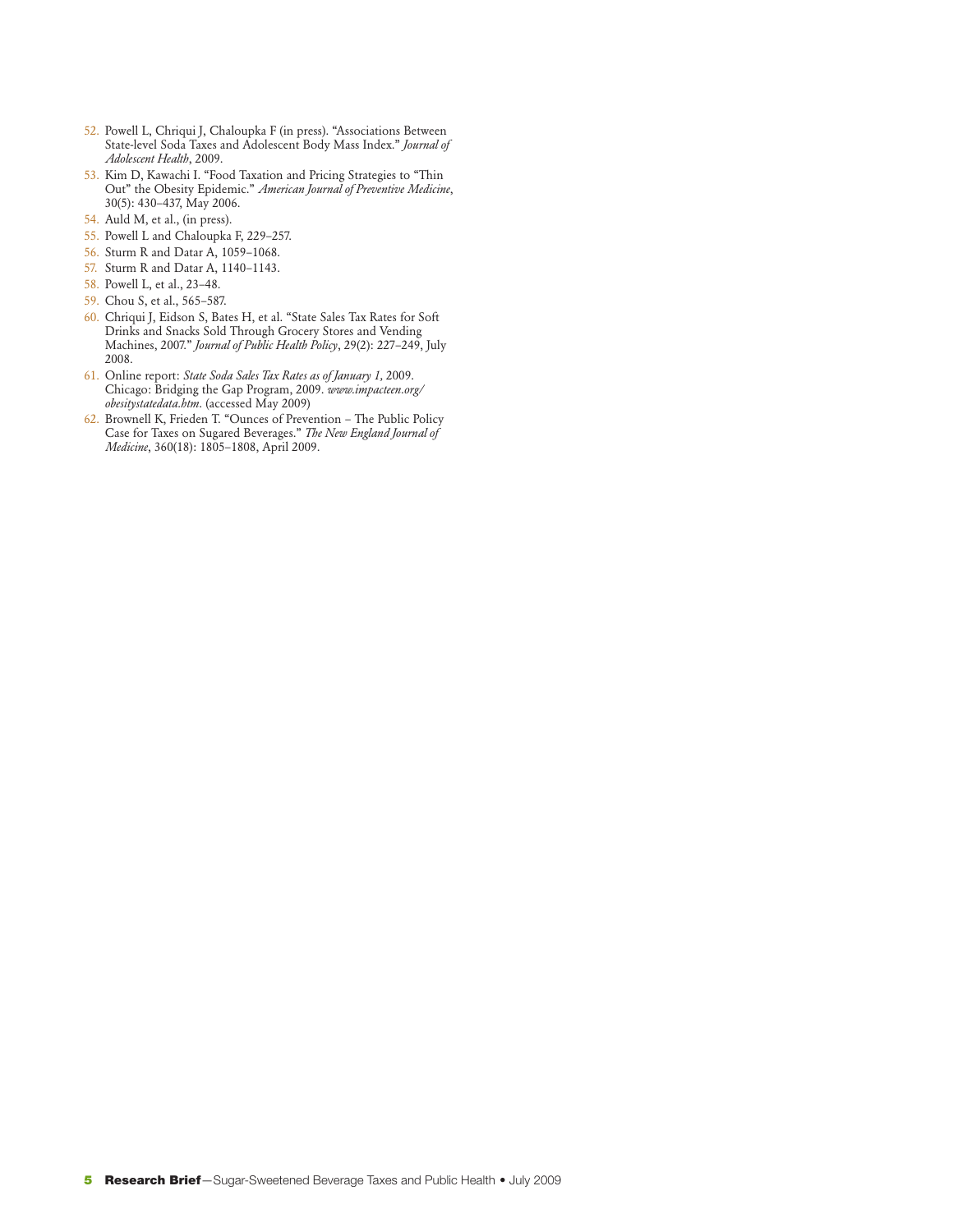- 52. Powell L, Chriqui J, Chaloupka F (in press). "Associations Between State-level Soda Taxes and Adolescent Body Mass Index." *Journal of Adolescent Health*, 2009.
- 53. Kim D, Kawachi I. "Food Taxation and Pricing Strategies to "Thin Out" the Obesity Epidemic." *American Journal of Preventive Medicine*, 30(5): 430–437, May 2006.
- 54. Auld M, et al., (in press).
- 55. Powell L and Chaloupka F, 229–257.
- 56. Sturm R and Datar A, 1059–1068.
- 57. Sturm R and Datar A, 1140–1143.
- 58. Powell L, et al., 23–48.
- 59. Chou S, et al., 565–587.
- 60. Chriqui J, Eidson S, Bates H, et al. "State Sales Tax Rates for Soft Drinks and Snacks Sold Through Grocery Stores and Vending Machines, 2007." *Journal of Public Health Policy*, 29(2): 227–249, July 2008.
- 61. Online report: *State Soda Sales Tax Rates as of January 1,* 2009. Chicago: Bridging the Gap Program, 2009. *www.impacteen.org/ obesitystatedata.htm*. (accessed May 2009)
- 62. Brownell K, Frieden T. "Ounces of Prevention The Public Policy Case for Taxes on Sugared Beverages." *The New England Journal of Medicine*, 360(18): 1805–1808, April 2009.